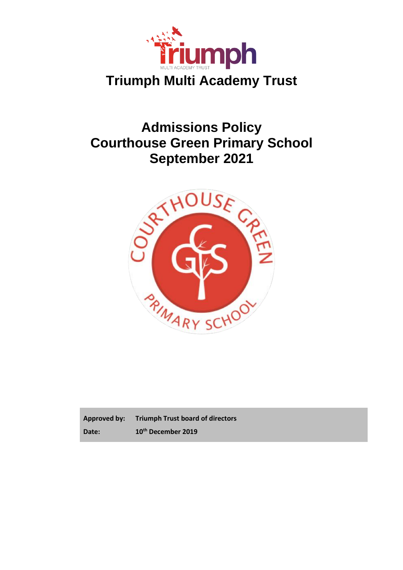

# **Admissions Policy Courthouse Green Primary School**



**Approved by: Date: Triumph Trust board of directors 10th December 2019**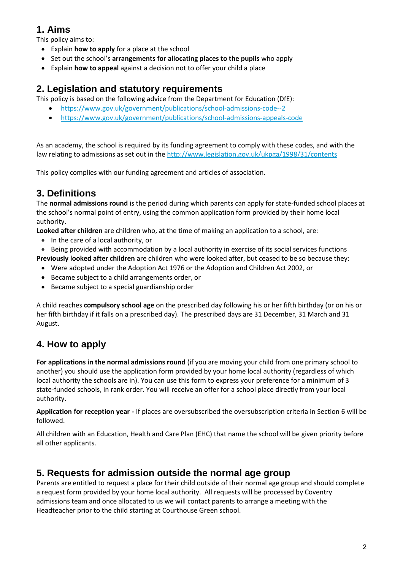# **1. Aims**

This policy aims to:

- Explain **how to apply** for a place at the school
- Set out the school's **arrangements for allocating places to the pupils** who apply
- Explain **how to appeal** against a decision not to offer your child a place

## **2. Legislation and statutory requirements**

This policy is based on the following advice from the Department for Education (DfE):

- <https://www.gov.uk/government/publications/school-admissions-code--2>
- <https://www.gov.uk/government/publications/school-admissions-appeals-code>

As an academy, the school is required by its funding agreement to comply with these codes, and with the law relating to admissions as set out in th[e http://www.legislation.gov.uk/ukpga/1998/31/contents](http://www.legislation.gov.uk/ukpga/1998/31/contents)

This policy complies with our funding agreement and articles of association.

# **3. Definitions**

The **normal admissions round** is the period during which parents can apply for state-funded school places at the school's normal point of entry, using the common application form provided by their home local authority.

**Looked after children** are children who, at the time of making an application to a school, are:

• In the care of a local authority, or

• Being provided with accommodation by a local authority in exercise of its social services functions

**Previously looked after children** are children who were looked after, but ceased to be so because they:

- Were adopted under the Adoption Act 1976 or the Adoption and Children Act 2002, or
- Became subject to a child arrangements order, or
- Became subject to a special guardianship order

A child reaches **compulsory school age** on the prescribed day following his or her fifth birthday (or on his or her fifth birthday if it falls on a prescribed day). The prescribed days are 31 December, 31 March and 31 August.

# **4. How to apply**

**For applications in the normal admissions round** (if you are moving your child from one primary school to another) you should use the application form provided by your home local authority (regardless of which local authority the schools are in). You can use this form to express your preference for a minimum of 3 state-funded schools, in rank order. You will receive an offer for a school place directly from your local authority.

**Application for reception year -** If places are oversubscribed the oversubscription criteria in Section 6 will be followed.

All children with an Education, Health and Care Plan (EHC) that name the school will be given priority before all other applicants.

## **5. Requests for admission outside the normal age group**

Parents are entitled to request a place for their child outside of their normal age group and should complete a request form provided by your home local authority. All requests will be processed by Coventry admissions team and once allocated to us we will contact parents to arrange a meeting with the Headteacher prior to the child starting at Courthouse Green school.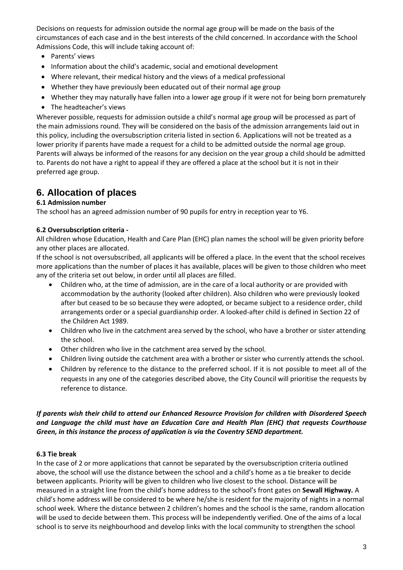Decisions on requests for admission outside the normal age group will be made on the basis of the circumstances of each case and in the best interests of the child concerned. In accordance with the School Admissions Code, this will include taking account of:

- Parents' views
- Information about the child's academic, social and emotional development
- Where relevant, their medical history and the views of a medical professional
- Whether they have previously been educated out of their normal age group
- Whether they may naturally have fallen into a lower age group if it were not for being born prematurely
- The headteacher's views

Wherever possible, requests for admission outside a child's normal age group will be processed as part of the main admissions round. They will be considered on the basis of the admission arrangements laid out in this policy, including the oversubscription criteria listed in section 6. Applications will not be treated as a lower priority if parents have made a request for a child to be admitted outside the normal age group. Parents will always be informed of the reasons for any decision on the year group a child should be admitted to. Parents do not have a right to appeal if they are offered a place at the school but it is not in their preferred age group.

## **6. Allocation of places**

#### **6.1 Admission number**

The school has an agreed admission number of 90 pupils for entry in reception year to Y6.

#### **6.2 Oversubscription criteria -**

All children whose Education, Health and Care Plan (EHC) plan names the school will be given priority before any other places are allocated.

If the school is not oversubscribed, all applicants will be offered a place. In the event that the school receives more applications than the number of places it has available, places will be given to those children who meet any of the criteria set out below, in order until all places are filled.

- Children who, at the time of admission, are in the care of a local authority or are provided with accommodation by the authority (looked after children). Also children who were previously looked after but ceased to be so because they were adopted, or became subject to a residence order, child arrangements order or a special guardianship order. A looked-after child is defined in Section 22 of the Children Act 1989.
- Children who live in the catchment area served by the school, who have a brother or sister attending the school.
- Other children who live in the catchment area served by the school.
- Children living outside the catchment area with a brother or sister who currently attends the school.
- Children by reference to the distance to the preferred school. If it is not possible to meet all of the requests in any one of the categories described above, the City Council will prioritise the requests by reference to distance.

#### *If parents wish their child to attend our Enhanced Resource Provision for children with Disordered Speech and Language the child must have an Education Care and Health Plan (EHC) that requests Courthouse Green, in this instance the process of application is via the Coventry SEND department.*

#### **6.3 Tie break**

In the case of 2 or more applications that cannot be separated by the oversubscription criteria outlined above, the school will use the distance between the school and a child's home as a tie breaker to decide between applicants. Priority will be given to children who live closest to the school. Distance will be measured in a straight line from the child's home address to the school's front gates on **Sewall Highway.** A child's home address will be considered to be where he/she is resident for the majority of nights in a normal school week. Where the distance between 2 children's homes and the school is the same, random allocation will be used to decide between them. This process will be independently verified. One of the aims of a local school is to serve its neighbourhood and develop links with the local community to strengthen the school